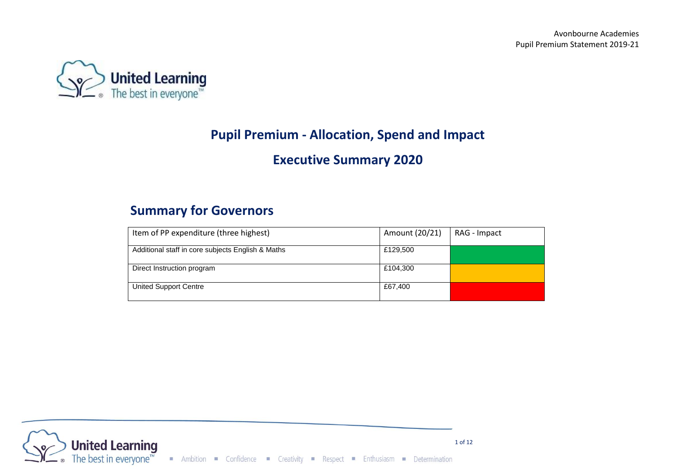

# **Pupil Premium - Allocation, Spend and Impact**

## **Executive Summary 2020**

## **Summary for Governors**

| Item of PP expenditure (three highest)            | Amount (20/21) | RAG - Impact |
|---------------------------------------------------|----------------|--------------|
| Additional staff in core subjects English & Maths | £129,500       |              |
| Direct Instruction program                        | £104,300       |              |
| United Support Centre                             | £67,400        |              |

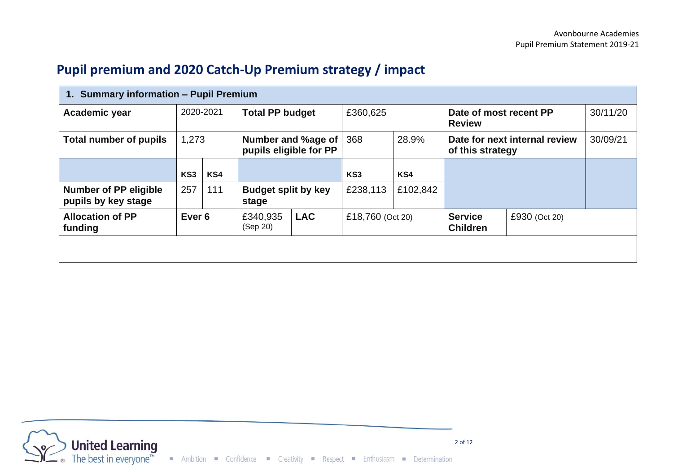## **Pupil premium and 2020 Catch-Up Premium strategy / impact**

| 1. Summary information - Pupil Premium              |                   |     |                                     |                    |                  |          |                                   |                               |          |
|-----------------------------------------------------|-------------------|-----|-------------------------------------|--------------------|------------------|----------|-----------------------------------|-------------------------------|----------|
| Academic year                                       | 2020-2021         |     | <b>Total PP budget</b>              |                    | £360,625         |          | <b>Review</b>                     | Date of most recent PP        | 30/11/20 |
| <b>Total number of pupils</b>                       | 1,273             |     | pupils eligible for PP              | Number and %age of | 368              | 28.9%    | of this strategy                  | Date for next internal review | 30/09/21 |
|                                                     | KS <sub>3</sub>   | KS4 |                                     |                    | KS3              | KS4      |                                   |                               |          |
| <b>Number of PP eligible</b><br>pupils by key stage | 257               | 111 | <b>Budget split by key</b><br>stage |                    | £238,113         | £102,842 |                                   |                               |          |
| <b>Allocation of PP</b><br>funding                  | Ever <sub>6</sub> |     | £340,935<br>(Sep 20)                | <b>LAC</b>         | £18,760 (Oct 20) |          | <b>Service</b><br><b>Children</b> | £930 (Oct 20)                 |          |
|                                                     |                   |     |                                     |                    |                  |          |                                   |                               |          |
|                                                     |                   |     |                                     |                    |                  |          |                                   |                               |          |

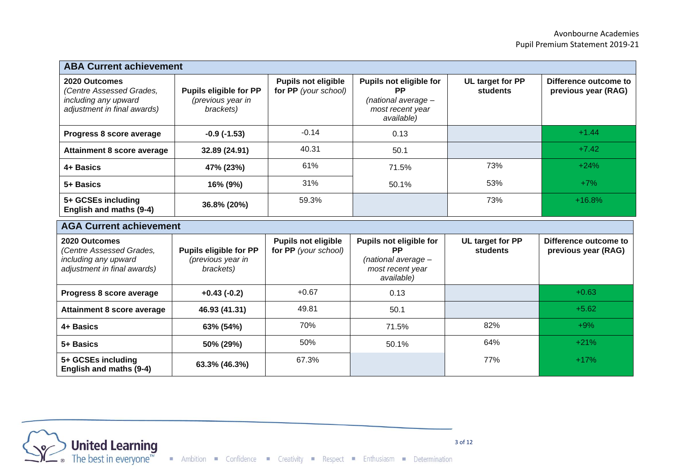| <b>ABA Current achievement</b>                                                                   |                                                                 |                                                    |                                                                                                 |                                     |                                              |  |
|--------------------------------------------------------------------------------------------------|-----------------------------------------------------------------|----------------------------------------------------|-------------------------------------------------------------------------------------------------|-------------------------------------|----------------------------------------------|--|
| 2020 Outcomes<br>(Centre Assessed Grades,<br>including any upward<br>adjustment in final awards) | <b>Pupils eligible for PP</b><br>(previous year in<br>brackets) | <b>Pupils not eligible</b><br>for PP (your school) | Pupils not eligible for<br><b>PP</b><br>$(national average -$<br>most recent year<br>available) | UL target for PP<br><b>students</b> | Difference outcome to<br>previous year (RAG) |  |
| Progress 8 score average                                                                         | $-0.9(-1.53)$                                                   | $-0.14$                                            | 0.13                                                                                            |                                     | $+1.44$                                      |  |
| Attainment 8 score average                                                                       | 32.89 (24.91)                                                   | 40.31                                              | 50.1                                                                                            |                                     | $+7.42$                                      |  |
| 4+ Basics                                                                                        | 47% (23%)                                                       | 61%                                                | 71.5%                                                                                           | 73%                                 | $+24%$                                       |  |
| 5+ Basics                                                                                        | 16% (9%)                                                        | 31%                                                | 50.1%                                                                                           | 53%                                 | $+7\%$                                       |  |
| 5+ GCSEs including<br>English and maths (9-4)                                                    | 36.8% (20%)                                                     | 59.3%                                              |                                                                                                 | 73%                                 | $+16.8%$                                     |  |

| <b>AGA Current achievement</b>                                                                   |                                                          |                                                    |                                                                                        |                              |                                              |  |  |
|--------------------------------------------------------------------------------------------------|----------------------------------------------------------|----------------------------------------------------|----------------------------------------------------------------------------------------|------------------------------|----------------------------------------------|--|--|
| 2020 Outcomes<br>(Centre Assessed Grades,<br>including any upward<br>adjustment in final awards) | Pupils eligible for PP<br>(previous year in<br>brackets) | <b>Pupils not eligible</b><br>for PP (your school) | Pupils not eligible for<br>РP<br>(national average -<br>most recent year<br>available) | UL target for PP<br>students | Difference outcome to<br>previous year (RAG) |  |  |
| Progress 8 score average                                                                         | $+0.43(-0.2)$                                            | $+0.67$                                            | 0.13                                                                                   |                              | $+0.63$                                      |  |  |
| <b>Attainment 8 score average</b>                                                                | 46.93 (41.31)                                            | 49.81                                              | 50.1                                                                                   |                              | $+5.62$                                      |  |  |
| 4+ Basics                                                                                        | 63% (54%)                                                | 70%                                                | 71.5%                                                                                  | 82%                          | $+9%$                                        |  |  |
| 5+ Basics                                                                                        | 50% (29%)                                                | 50%                                                | 50.1%                                                                                  | 64%                          | $+21%$                                       |  |  |
| 5+ GCSEs including<br>English and maths (9-4)                                                    | 63.3% (46.3%)                                            | 67.3%                                              |                                                                                        | 77%                          | $+17%$                                       |  |  |



 $\mathbf{r}$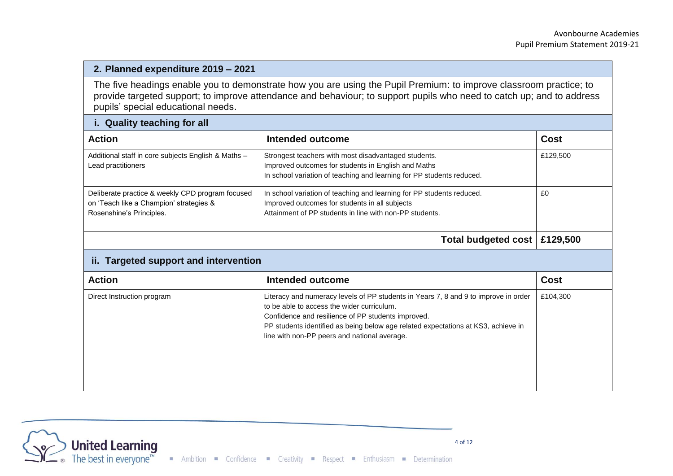### **2. Planned expenditure 2019 – 2021**

The five headings enable you to demonstrate how you are using the Pupil Premium: to improve classroom practice; to provide targeted support; to improve attendance and behaviour; to support pupils who need to catch up; and to address pupils' special educational needs.

| i. Quality teaching for all                                                                                             |                                                                                                                                                                                                                                                                                                                              |             |
|-------------------------------------------------------------------------------------------------------------------------|------------------------------------------------------------------------------------------------------------------------------------------------------------------------------------------------------------------------------------------------------------------------------------------------------------------------------|-------------|
| <b>Action</b>                                                                                                           | Intended outcome                                                                                                                                                                                                                                                                                                             | <b>Cost</b> |
| Additional staff in core subjects English & Maths -<br>Lead practitioners                                               | Strongest teachers with most disadvantaged students.<br>Improved outcomes for students in English and Maths<br>In school variation of teaching and learning for PP students reduced.                                                                                                                                         | £129,500    |
| Deliberate practice & weekly CPD program focused<br>on 'Teach like a Champion' strategies &<br>Rosenshine's Principles. | In school variation of teaching and learning for PP students reduced.<br>Improved outcomes for students in all subjects<br>Attainment of PP students in line with non-PP students.                                                                                                                                           | £0          |
|                                                                                                                         | <b>Total budgeted cost</b>                                                                                                                                                                                                                                                                                                   | £129,500    |
| ii. Targeted support and intervention                                                                                   |                                                                                                                                                                                                                                                                                                                              |             |
| <b>Action</b>                                                                                                           | Intended outcome                                                                                                                                                                                                                                                                                                             | <b>Cost</b> |
| Direct Instruction program                                                                                              | Literacy and numeracy levels of PP students in Years 7, 8 and 9 to improve in order<br>to be able to access the wider curriculum.<br>Confidence and resilience of PP students improved.<br>PP students identified as being below age related expectations at KS3, achieve in<br>line with non-PP peers and national average. | £104,300    |

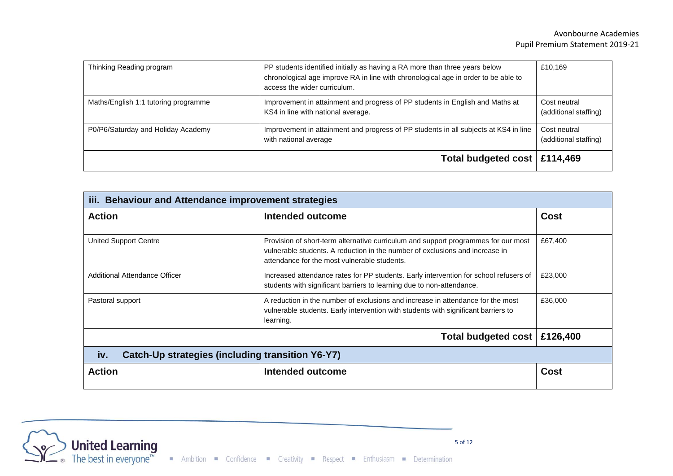| Thinking Reading program             | PP students identified initially as having a RA more than three years below<br>chronological age improve RA in line with chronological age in order to be able to<br>access the wider curriculum. | £10,169                               |
|--------------------------------------|---------------------------------------------------------------------------------------------------------------------------------------------------------------------------------------------------|---------------------------------------|
| Maths/English 1:1 tutoring programme | Improvement in attainment and progress of PP students in English and Maths at<br>KS4 in line with national average.                                                                               | Cost neutral<br>(additional staffing) |
| P0/P6/Saturday and Holiday Academy   | Improvement in attainment and progress of PP students in all subjects at KS4 in line<br>with national average                                                                                     | Cost neutral<br>(additional staffing) |
|                                      | Total budgeted cost   £114,469                                                                                                                                                                    |                                       |

| iii. Behaviour and Attendance improvement strategies    |                                                                                                                                                                                                                    |             |  |  |
|---------------------------------------------------------|--------------------------------------------------------------------------------------------------------------------------------------------------------------------------------------------------------------------|-------------|--|--|
| <b>Action</b>                                           | Intended outcome                                                                                                                                                                                                   | <b>Cost</b> |  |  |
| <b>United Support Centre</b>                            | Provision of short-term alternative curriculum and support programmes for our most<br>vulnerable students. A reduction in the number of exclusions and increase in<br>attendance for the most vulnerable students. | £67,400     |  |  |
| Additional Attendance Officer                           | Increased attendance rates for PP students. Early intervention for school refusers of<br>students with significant barriers to learning due to non-attendance.                                                     | £23,000     |  |  |
| Pastoral support                                        | A reduction in the number of exclusions and increase in attendance for the most<br>vulnerable students. Early intervention with students with significant barriers to<br>learning.                                 | £36,000     |  |  |
| £126,400<br>Total budgeted cost                         |                                                                                                                                                                                                                    |             |  |  |
| iv.<br>Catch-Up strategies (including transition Y6-Y7) |                                                                                                                                                                                                                    |             |  |  |
| <b>Action</b>                                           | Intended outcome                                                                                                                                                                                                   | <b>Cost</b> |  |  |

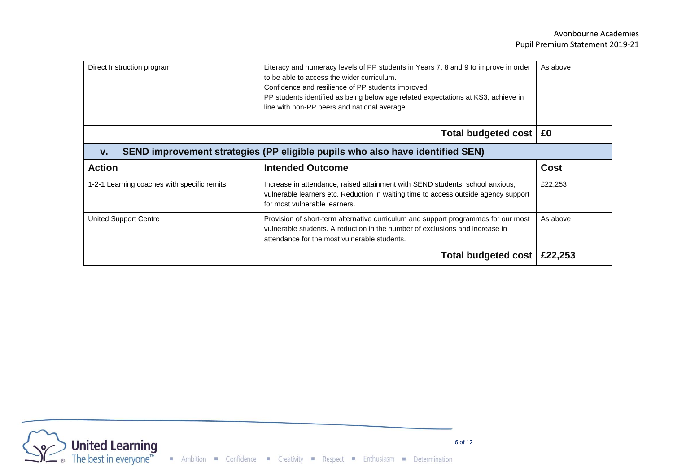| Direct Instruction program                  | Literacy and numeracy levels of PP students in Years 7, 8 and 9 to improve in order<br>to be able to access the wider curriculum.<br>Confidence and resilience of PP students improved.<br>PP students identified as being below age related expectations at KS3, achieve in<br>line with non-PP peers and national average. | As above    |
|---------------------------------------------|------------------------------------------------------------------------------------------------------------------------------------------------------------------------------------------------------------------------------------------------------------------------------------------------------------------------------|-------------|
|                                             | Total budgeted cost   £0                                                                                                                                                                                                                                                                                                     |             |
| V.                                          | SEND improvement strategies (PP eligible pupils who also have identified SEN)                                                                                                                                                                                                                                                |             |
| <b>Action</b>                               | <b>Intended Outcome</b>                                                                                                                                                                                                                                                                                                      | <b>Cost</b> |
| 1-2-1 Learning coaches with specific remits | Increase in attendance, raised attainment with SEND students, school anxious,<br>vulnerable learners etc. Reduction in waiting time to access outside agency support<br>for most vulnerable learners.                                                                                                                        | £22,253     |
| <b>United Support Centre</b>                | Provision of short-term alternative curriculum and support programmes for our most<br>vulnerable students. A reduction in the number of exclusions and increase in<br>attendance for the most vulnerable students.                                                                                                           | As above    |
|                                             | <b>Total budgeted cost</b>                                                                                                                                                                                                                                                                                                   | £22,253     |

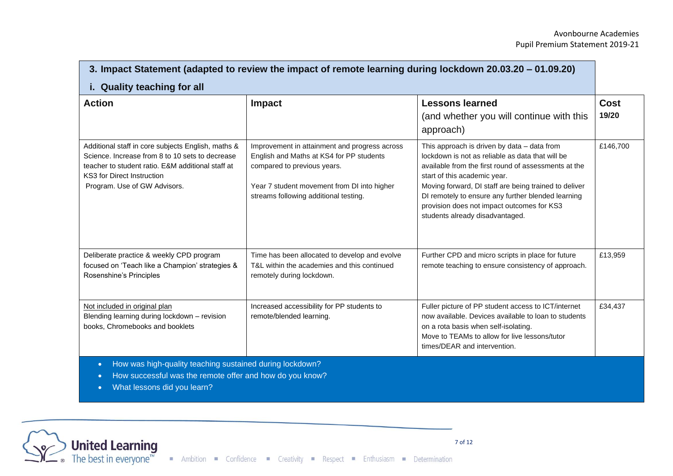| 3. Impact Statement (adapted to review the impact of remote learning during lockdown 20.03.20 – 01.09.20)                                                                                                                       |                                                                                                                                                                                                                  |                                                                                                                                                                                                                                                                                                                                                                                         |                      |  |
|---------------------------------------------------------------------------------------------------------------------------------------------------------------------------------------------------------------------------------|------------------------------------------------------------------------------------------------------------------------------------------------------------------------------------------------------------------|-----------------------------------------------------------------------------------------------------------------------------------------------------------------------------------------------------------------------------------------------------------------------------------------------------------------------------------------------------------------------------------------|----------------------|--|
| i. Quality teaching for all                                                                                                                                                                                                     |                                                                                                                                                                                                                  |                                                                                                                                                                                                                                                                                                                                                                                         |                      |  |
| <b>Action</b>                                                                                                                                                                                                                   | Impact                                                                                                                                                                                                           | <b>Lessons learned</b><br>(and whether you will continue with this<br>approach)                                                                                                                                                                                                                                                                                                         | <b>Cost</b><br>19/20 |  |
| Additional staff in core subjects English, maths &<br>Science. Increase from 8 to 10 sets to decrease<br>teacher to student ratio. E&M additional staff at<br><b>KS3 for Direct Instruction</b><br>Program. Use of GW Advisors. | Improvement in attainment and progress across<br>English and Maths at KS4 for PP students<br>compared to previous years.<br>Year 7 student movement from DI into higher<br>streams following additional testing. | This approach is driven by data - data from<br>lockdown is not as reliable as data that will be<br>available from the first round of assessments at the<br>start of this academic year.<br>Moving forward, DI staff are being trained to deliver<br>DI remotely to ensure any further blended learning<br>provision does not impact outcomes for KS3<br>students already disadvantaged. | £146,700             |  |
| Deliberate practice & weekly CPD program<br>focused on 'Teach like a Champion' strategies &<br>Rosenshine's Principles                                                                                                          | Time has been allocated to develop and evolve<br>T&L within the academies and this continued<br>remotely during lockdown.                                                                                        | Further CPD and micro scripts in place for future<br>remote teaching to ensure consistency of approach.                                                                                                                                                                                                                                                                                 | £13,959              |  |
| Not included in original plan<br>Blending learning during lockdown - revision<br>books, Chromebooks and booklets                                                                                                                | Increased accessibility for PP students to<br>remote/blended learning.                                                                                                                                           | Fuller picture of PP student access to ICT/internet<br>now available. Devices available to loan to students<br>on a rota basis when self-isolating.<br>Move to TEAMs to allow for live lessons/tutor<br>times/DEAR and intervention.                                                                                                                                                    | £34,437              |  |
| How was high-quality teaching sustained during lockdown?<br>How successful was the remote offer and how do you know?                                                                                                            |                                                                                                                                                                                                                  |                                                                                                                                                                                                                                                                                                                                                                                         |                      |  |

• What lessons did you learn?

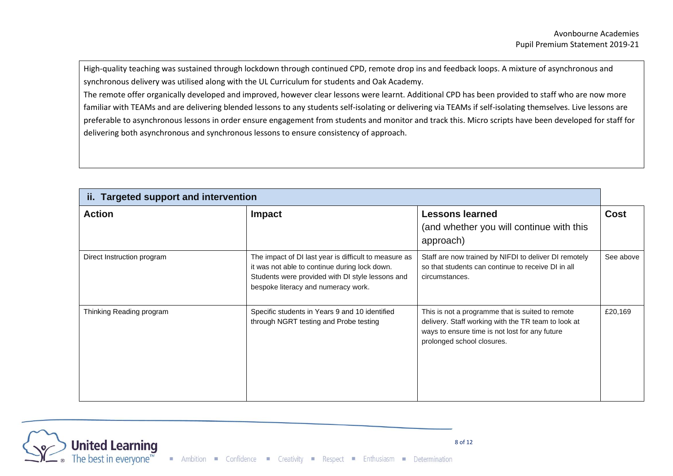High-quality teaching was sustained through lockdown through continued CPD, remote drop ins and feedback loops. A mixture of asynchronous and synchronous delivery was utilised along with the UL Curriculum for students and Oak Academy.

The remote offer organically developed and improved, however clear lessons were learnt. Additional CPD has been provided to staff who are now more familiar with TEAMs and are delivering blended lessons to any students self-isolating or delivering via TEAMs if self-isolating themselves. Live lessons are preferable to asynchronous lessons in order ensure engagement from students and monitor and track this. Micro scripts have been developed for staff for delivering both asynchronous and synchronous lessons to ensure consistency of approach.

| ii. Targeted support and intervention |                                                                                                                                                                                                   |                                                                                                                                                                                         |             |  |
|---------------------------------------|---------------------------------------------------------------------------------------------------------------------------------------------------------------------------------------------------|-----------------------------------------------------------------------------------------------------------------------------------------------------------------------------------------|-------------|--|
| <b>Action</b>                         | <b>Impact</b>                                                                                                                                                                                     | <b>Lessons learned</b><br>(and whether you will continue with this<br>approach)                                                                                                         | <b>Cost</b> |  |
| Direct Instruction program            | The impact of DI last year is difficult to measure as<br>it was not able to continue during lock down.<br>Students were provided with DI style lessons and<br>bespoke literacy and numeracy work. | Staff are now trained by NIFDI to deliver DI remotely<br>so that students can continue to receive DI in all<br>circumstances.                                                           | See above   |  |
| Thinking Reading program              | Specific students in Years 9 and 10 identified<br>through NGRT testing and Probe testing                                                                                                          | This is not a programme that is suited to remote<br>delivery. Staff working with the TR team to look at<br>ways to ensure time is not lost for any future<br>prolonged school closures. | £20,169     |  |

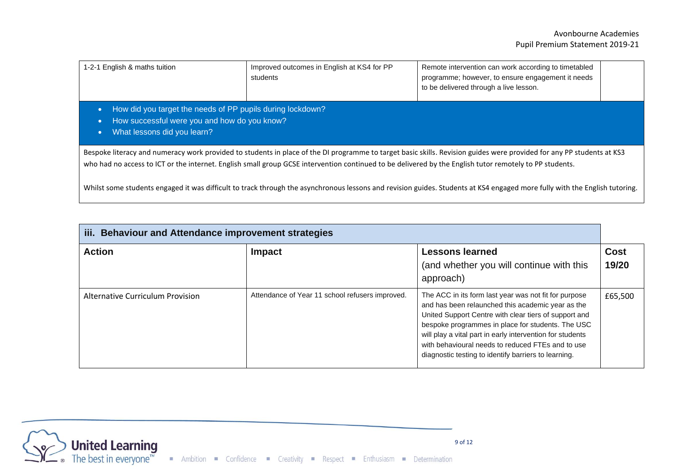| 1-2-1 English & maths tuition                                                                                                                                                                                                                                                                                                                                                                                                                                                                                  | Improved outcomes in English at KS4 for PP<br>students | Remote intervention can work according to timetabled<br>programme; however, to ensure engagement it needs<br>to be delivered through a live lesson. |  |  |  |  |
|----------------------------------------------------------------------------------------------------------------------------------------------------------------------------------------------------------------------------------------------------------------------------------------------------------------------------------------------------------------------------------------------------------------------------------------------------------------------------------------------------------------|--------------------------------------------------------|-----------------------------------------------------------------------------------------------------------------------------------------------------|--|--|--|--|
| How did you target the needs of PP pupils during lockdown?<br>How successful were you and how do you know?<br>œ<br>What lessons did you learn?                                                                                                                                                                                                                                                                                                                                                                 |                                                        |                                                                                                                                                     |  |  |  |  |
| Bespoke literacy and numeracy work provided to students in place of the DI programme to target basic skills. Revision guides were provided for any PP students at KS3<br>who had no access to ICT or the internet. English small group GCSE intervention continued to be delivered by the English tutor remotely to PP students.<br>Whilst some students engaged it was difficult to track through the asynchronous lessons and revision guides. Students at KS4 engaged more fully with the English tutoring. |                                                        |                                                                                                                                                     |  |  |  |  |

| iii. Behaviour and Attendance improvement strategies |                                                 |                                                                                                                                                                                                                                                                                                                                                                                                    |                      |  |
|------------------------------------------------------|-------------------------------------------------|----------------------------------------------------------------------------------------------------------------------------------------------------------------------------------------------------------------------------------------------------------------------------------------------------------------------------------------------------------------------------------------------------|----------------------|--|
| <b>Action</b>                                        | <b>Impact</b>                                   | <b>Lessons learned</b><br>(and whether you will continue with this<br>approach)                                                                                                                                                                                                                                                                                                                    | <b>Cost</b><br>19/20 |  |
| Alternative Curriculum Provision                     | Attendance of Year 11 school refusers improved. | The ACC in its form last year was not fit for purpose<br>and has been relaunched this academic year as the<br>United Support Centre with clear tiers of support and<br>bespoke programmes in place for students. The USC<br>will play a vital part in early intervention for students<br>with behavioural needs to reduced FTEs and to use<br>diagnostic testing to identify barriers to learning. | £65,500              |  |

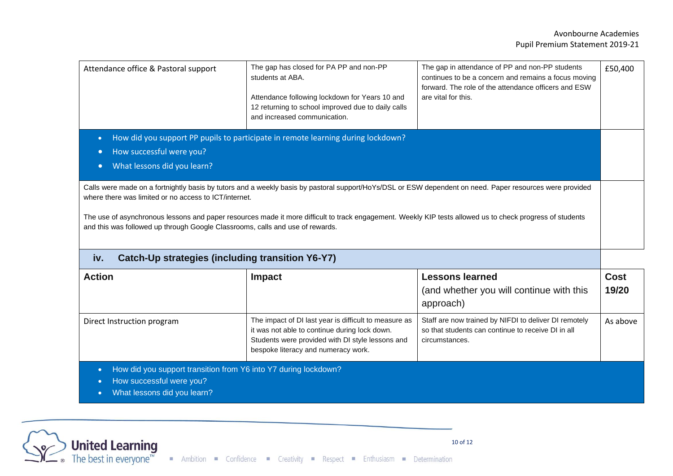| Attendance office & Pastoral support                                                                                                                                                                                                                                                                                                                                                                                                                            | The gap has closed for PA PP and non-PP<br>students at ABA.<br>Attendance following lockdown for Years 10 and<br>12 returning to school improved due to daily calls<br>and increased communication. | The gap in attendance of PP and non-PP students<br>continues to be a concern and remains a focus moving<br>forward. The role of the attendance officers and ESW<br>are vital for this. | £50,400 |
|-----------------------------------------------------------------------------------------------------------------------------------------------------------------------------------------------------------------------------------------------------------------------------------------------------------------------------------------------------------------------------------------------------------------------------------------------------------------|-----------------------------------------------------------------------------------------------------------------------------------------------------------------------------------------------------|----------------------------------------------------------------------------------------------------------------------------------------------------------------------------------------|---------|
| How did you support PP pupils to participate in remote learning during lockdown?<br>$\bullet$<br>How successful were you?<br>$\bullet$<br>What lessons did you learn?<br>$\bullet$                                                                                                                                                                                                                                                                              |                                                                                                                                                                                                     |                                                                                                                                                                                        |         |
| Calls were made on a fortnightly basis by tutors and a weekly basis by pastoral support/HoYs/DSL or ESW dependent on need. Paper resources were provided<br>where there was limited or no access to ICT/internet.<br>The use of asynchronous lessons and paper resources made it more difficult to track engagement. Weekly KIP tests allowed us to check progress of students<br>and this was followed up through Google Classrooms, calls and use of rewards. |                                                                                                                                                                                                     |                                                                                                                                                                                        |         |
| iv.<br>Catch-Up strategies (including transition Y6-Y7)                                                                                                                                                                                                                                                                                                                                                                                                         |                                                                                                                                                                                                     |                                                                                                                                                                                        |         |

| <b>Action</b>                                                                               | <b>Impact</b>                                                                                                                                                                                     | <b>Lessons learned</b><br>(and whether you will continue with this<br>approach)                                               | <b>Cost</b><br>19/20 |  |
|---------------------------------------------------------------------------------------------|---------------------------------------------------------------------------------------------------------------------------------------------------------------------------------------------------|-------------------------------------------------------------------------------------------------------------------------------|----------------------|--|
| Direct Instruction program                                                                  | The impact of DI last year is difficult to measure as<br>it was not able to continue during lock down.<br>Students were provided with DI style lessons and<br>bespoke literacy and numeracy work. | Staff are now trained by NIFDI to deliver DI remotely<br>so that students can continue to receive DI in all<br>circumstances. | As above             |  |
| How did you support transition from Y6 into Y7 during lockdown?<br>How successful were you? |                                                                                                                                                                                                   |                                                                                                                               |                      |  |



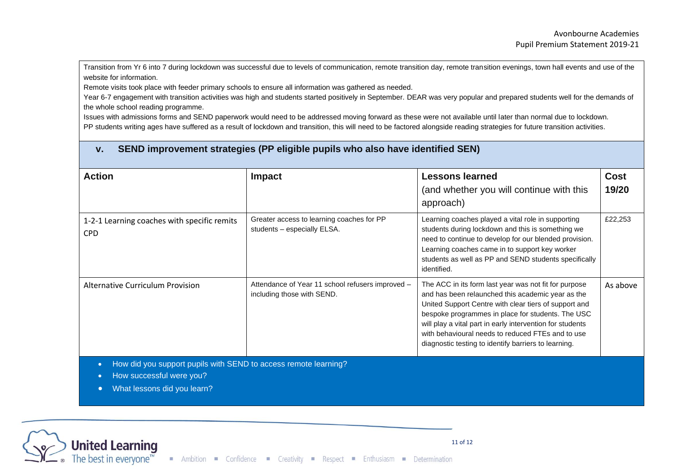Transition from Yr 6 into 7 during lockdown was successful due to levels of communication, remote transition day, remote transition evenings, town hall events and use of the website for information.

Remote visits took place with feeder primary schools to ensure all information was gathered as needed.

Year 6-7 engagement with transition activities was high and students started positively in September. DEAR was very popular and prepared students well for the demands of the whole school reading programme.

Issues with admissions forms and SEND paperwork would need to be addressed moving forward as these were not available until later than normal due to lockdown. PP students writing ages have suffered as a result of lockdown and transition, this will need to be factored alongside reading strategies for future transition activities.

### **v. SEND improvement strategies (PP eligible pupils who also have identified SEN)**

| <b>Action</b>                                                                                                                                                     | <b>Impact</b>                                                                  | <b>Lessons learned</b><br>(and whether you will continue with this<br>approach)                                                                                                                                                                                                                                                                                                                    | Cost<br>19/20 |
|-------------------------------------------------------------------------------------------------------------------------------------------------------------------|--------------------------------------------------------------------------------|----------------------------------------------------------------------------------------------------------------------------------------------------------------------------------------------------------------------------------------------------------------------------------------------------------------------------------------------------------------------------------------------------|---------------|
| 1-2-1 Learning coaches with specific remits<br><b>CPD</b>                                                                                                         | Greater access to learning coaches for PP<br>students - especially ELSA.       | Learning coaches played a vital role in supporting<br>students during lockdown and this is something we<br>need to continue to develop for our blended provision.<br>Learning coaches came in to support key worker<br>students as well as PP and SEND students specifically<br>identified.                                                                                                        | £22,253       |
| <b>Alternative Curriculum Provision</b>                                                                                                                           | Attendance of Year 11 school refusers improved -<br>including those with SEND. | The ACC in its form last year was not fit for purpose<br>and has been relaunched this academic year as the<br>United Support Centre with clear tiers of support and<br>bespoke programmes in place for students. The USC<br>will play a vital part in early intervention for students<br>with behavioural needs to reduced FTEs and to use<br>diagnostic testing to identify barriers to learning. | As above      |
| How did you support pupils with SEND to access remote learning?<br>$\bullet$<br>How successful were you?<br>$\bullet$<br>What lessons did you learn?<br>$\bullet$ |                                                                                |                                                                                                                                                                                                                                                                                                                                                                                                    |               |